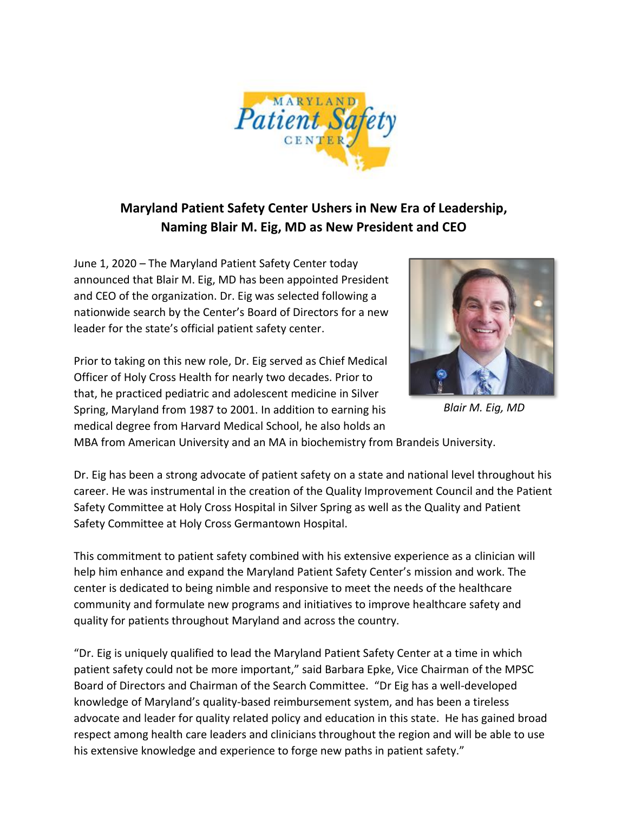

## **Maryland Patient Safety Center Ushers in New Era of Leadership, Naming Blair M. Eig, MD as New President and CEO**

June 1, 2020 – The Maryland Patient Safety Center today announced that Blair M. Eig, MD has been appointed President and CEO of the organization. Dr. Eig was selected following a nationwide search by the Center's Board of Directors for a new leader for the state's official patient safety center.





 *Blair M. Eig, MD*

MBA from American University and an MA in biochemistry from Brandeis University.

Dr. Eig has been a strong advocate of patient safety on a state and national level throughout his career. He was instrumental in the creation of the Quality Improvement Council and the Patient Safety Committee at Holy Cross Hospital in Silver Spring as well as the Quality and Patient Safety Committee at Holy Cross Germantown Hospital.

This commitment to patient safety combined with his extensive experience as a clinician will help him enhance and expand the Maryland Patient Safety Center's mission and work. The center is dedicated to being nimble and responsive to meet the needs of the healthcare community and formulate new programs and initiatives to improve healthcare safety and quality for patients throughout Maryland and across the country.

"Dr. Eig is uniquely qualified to lead the Maryland Patient Safety Center at a time in which patient safety could not be more important," said Barbara Epke, Vice Chairman of the MPSC Board of Directors and Chairman of the Search Committee. "Dr Eig has a well-developed knowledge of Maryland's quality-based reimbursement system, and has been a tireless advocate and leader for quality related policy and education in this state. He has gained broad respect among health care leaders and clinicians throughout the region and will be able to use his extensive knowledge and experience to forge new paths in patient safety."